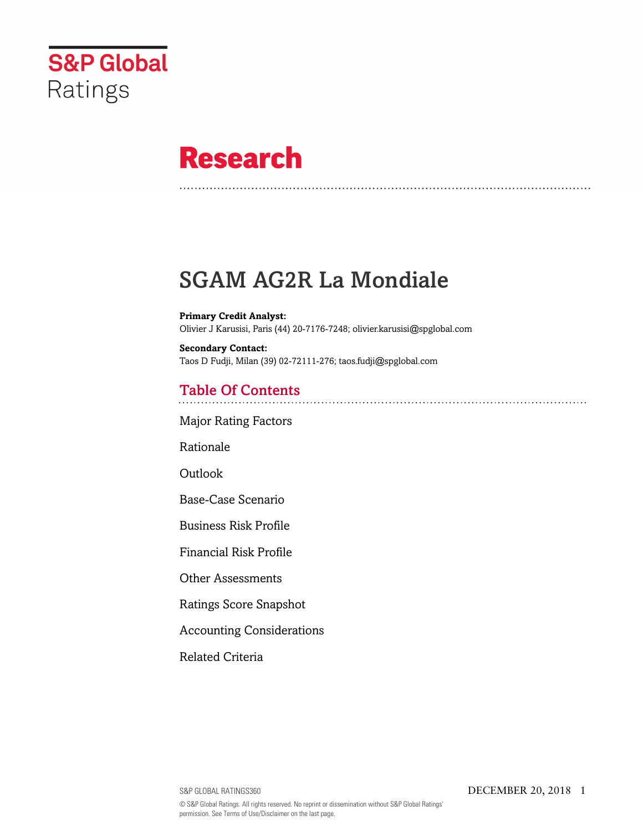

# **Research**

## SGAM AG2R La Mondiale

**Primary Credit Analyst:** Olivier J Karusisi, Paris (44) 20-7176-7248; olivier.karusisi@spglobal.com

**Secondary Contact:** Taos D Fudji, Milan (39) 02-72111-276; taos.fudji@spglobal.com

## Table Of Contents

[Major Rating Factors](#page-1-0)

[Rationale](#page-1-1)

Outlook

[Base-Case Scenario](#page-2-0)

[Business Risk Profile](#page-3-0)

[Financial Risk Profile](#page-4-0)

[Other Assessments](#page-5-0)

[Ratings Score Snapshot](#page-5-1)

[Accounting Considerations](#page-6-0)

[Related Criteria](#page-6-1)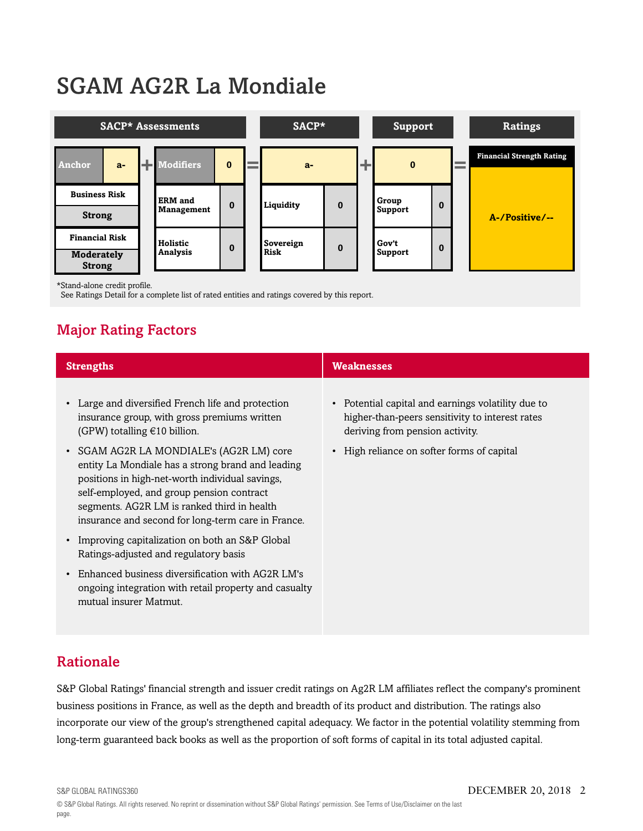# SGAM AG2R La Mondiale



\*Stand-alone credit profile.

<span id="page-1-0"></span>See Ratings Detail for a complete list of rated entities and ratings covered by this report.

## Major Rating Factors

| <b>Strengths</b>                                                                                                                                                                                                                                                                                   | <b>Weaknesses</b>                                                                                                                        |
|----------------------------------------------------------------------------------------------------------------------------------------------------------------------------------------------------------------------------------------------------------------------------------------------------|------------------------------------------------------------------------------------------------------------------------------------------|
| • Large and diversified French life and protection<br>insurance group, with gross premiums written<br>(GPW) totalling $€10$ billion.                                                                                                                                                               | • Potential capital and earnings volatility due to<br>higher-than-peers sensitivity to interest rates<br>deriving from pension activity. |
| • SGAM AG2R LA MONDIALE's (AG2R LM) core<br>entity La Mondiale has a strong brand and leading<br>positions in high-net-worth individual savings,<br>self-employed, and group pension contract<br>segments. AG2R LM is ranked third in health<br>insurance and second for long-term care in France. | • High reliance on softer forms of capital                                                                                               |
| Improving capitalization on both an S&P Global<br>$\bullet$<br>Ratings-adjusted and regulatory basis                                                                                                                                                                                               |                                                                                                                                          |
| Enhanced business diversification with AG2R LM's<br>$\bullet$<br>ongoing integration with retail property and casualty<br>mutual insurer Matmut.                                                                                                                                                   |                                                                                                                                          |

## <span id="page-1-1"></span>Rationale

S&P Global Ratings' financial strength and issuer credit ratings on Ag2R LM affiliates reflect the company's prominent business positions in France, as well as the depth and breadth of its product and distribution. The ratings also incorporate our view of the group's strengthened capital adequacy. We factor in the potential volatility stemming from long-term guaranteed back books as well as the proportion of soft forms of capital in its total adjusted capital.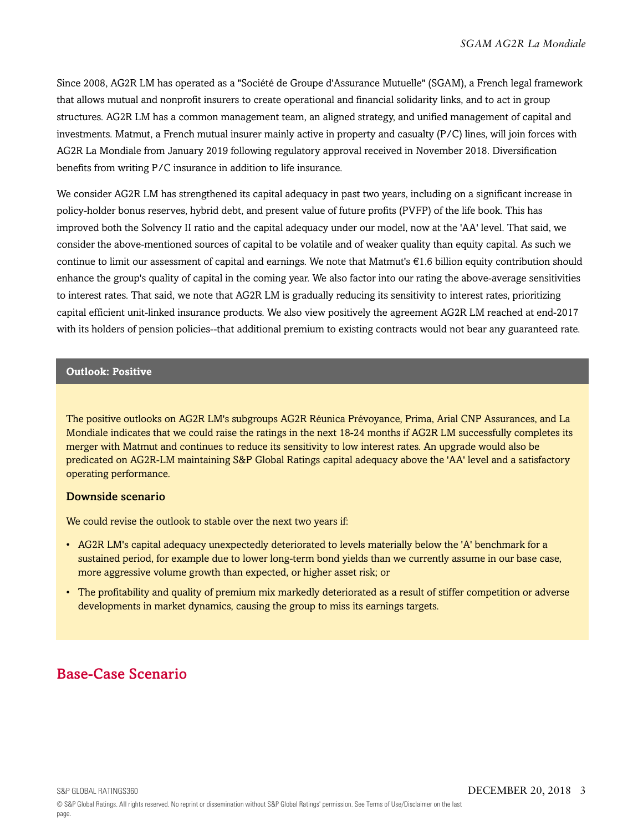Since 2008, AG2R LM has operated as a "Société de Groupe d'Assurance Mutuelle" (SGAM), a French legal framework that allows mutual and nonprofit insurers to create operational and financial solidarity links, and to act in group structures. AG2R LM has a common management team, an aligned strategy, and unified management of capital and investments. Matmut, a French mutual insurer mainly active in property and casualty (P/C) lines, will join forces with AG2R La Mondiale from January 2019 following regulatory approval received in November 2018. Diversification benefits from writing P/C insurance in addition to life insurance.

We consider AG2R LM has strengthened its capital adequacy in past two years, including on a significant increase in policy-holder bonus reserves, hybrid debt, and present value of future profits (PVFP) of the life book. This has improved both the Solvency II ratio and the capital adequacy under our model, now at the 'AA' level. That said, we consider the above-mentioned sources of capital to be volatile and of weaker quality than equity capital. As such we continue to limit our assessment of capital and earnings. We note that Matmut's  $\epsilon$ 1.6 billion equity contribution should enhance the group's quality of capital in the coming year. We also factor into our rating the above-average sensitivities to interest rates. That said, we note that AG2R LM is gradually reducing its sensitivity to interest rates, prioritizing capital efficient unit-linked insurance products. We also view positively the agreement AG2R LM reached at end-2017 with its holders of pension policies--that additional premium to existing contracts would not bear any guaranteed rate.

#### **Outlook: Positive**

The positive outlooks on AG2R LM's subgroups AG2R Réunica Prévoyance, Prima, Arial CNP Assurances, and La Mondiale indicates that we could raise the ratings in the next 18-24 months if AG2R LM successfully completes its merger with Matmut and continues to reduce its sensitivity to low interest rates. An upgrade would also be predicated on AG2R-LM maintaining S&P Global Ratings capital adequacy above the 'AA' level and a satisfactory operating performance.

#### Downside scenario

We could revise the outlook to stable over the next two years if:

- AG2R LM's capital adequacy unexpectedly deteriorated to levels materially below the 'A' benchmark for a sustained period, for example due to lower long-term bond yields than we currently assume in our base case, more aggressive volume growth than expected, or higher asset risk; or
- The profitability and quality of premium mix markedly deteriorated as a result of stiffer competition or adverse developments in market dynamics, causing the group to miss its earnings targets.

## <span id="page-2-0"></span>Base-Case Scenario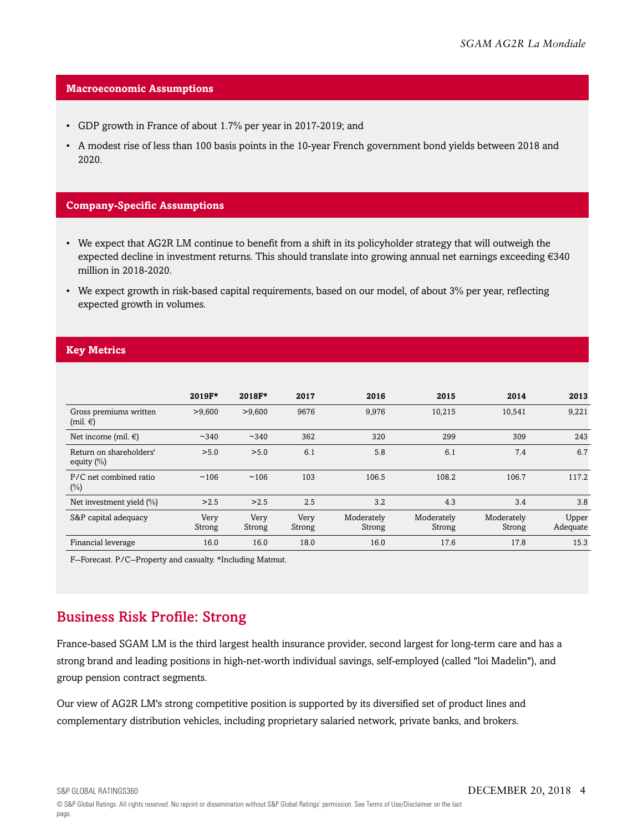#### **Macroeconomic Assumptions**

- GDP growth in France of about 1.7% per year in 2017-2019; and
- A modest rise of less than 100 basis points in the 10-year French government bond yields between 2018 and 2020.

#### **Company-Specific Assumptions**

- We expect that AG2R LM continue to benefit from a shift in its policyholder strategy that will outweigh the expected decline in investment returns. This should translate into growing annual net earnings exceeding €340 million in 2018-2020.
- We expect growth in risk-based capital requirements, based on our model, of about 3% per year, reflecting expected growth in volumes.

#### **Key Metrics**

|                                          | 2019F*         | 2018F*         | 2017           | 2016                 | 2015                 | 2014                 | 2013              |
|------------------------------------------|----------------|----------------|----------------|----------------------|----------------------|----------------------|-------------------|
| Gross premiums written<br>$(mil. \in)$   | >9,600         | >9,600         | 9676           | 9,976                | 10,215               | 10,541               | 9,221             |
| Net income (mil. $\in$ )                 | ~140           | ~140           | 362            | 320                  | 299                  | 309                  | 243               |
| Return on shareholders'<br>equity $(\%)$ | > 5.0          | > 5.0          | 6.1            | 5.8                  | 6.1                  | 7.4                  | 6.7               |
| P/C net combined ratio<br>$(\%)$         | ~106           | ~106           | 103            | 106.5                | 108.2                | 106.7                | 117.2             |
| Net investment yield $(\%)$              | >2.5           | >2.5           | 2.5            | 3.2                  | 4.3                  | 3.4                  | 3.8               |
| S&P capital adequacy                     | Very<br>Strong | Very<br>Strong | Very<br>Strong | Moderately<br>Strong | Moderately<br>Strong | Moderately<br>Strong | Upper<br>Adequate |
| Financial leverage                       | 16.0           | 16.0           | 18.0           | 16.0                 | 17.6                 | 17.8                 | 15.3              |

F--Forecast. P/C--Property and casualty. \*Including Matmut.

## <span id="page-3-0"></span>Business Risk Profile: Strong

France-based SGAM LM is the third largest health insurance provider, second largest for long-term care and has a strong brand and leading positions in high-net-worth individual savings, self-employed (called "loi Madelin"), and group pension contract segments.

Our view of AG2R LM's strong competitive position is supported by its diversified set of product lines and complementary distribution vehicles, including proprietary salaried network, private banks, and brokers.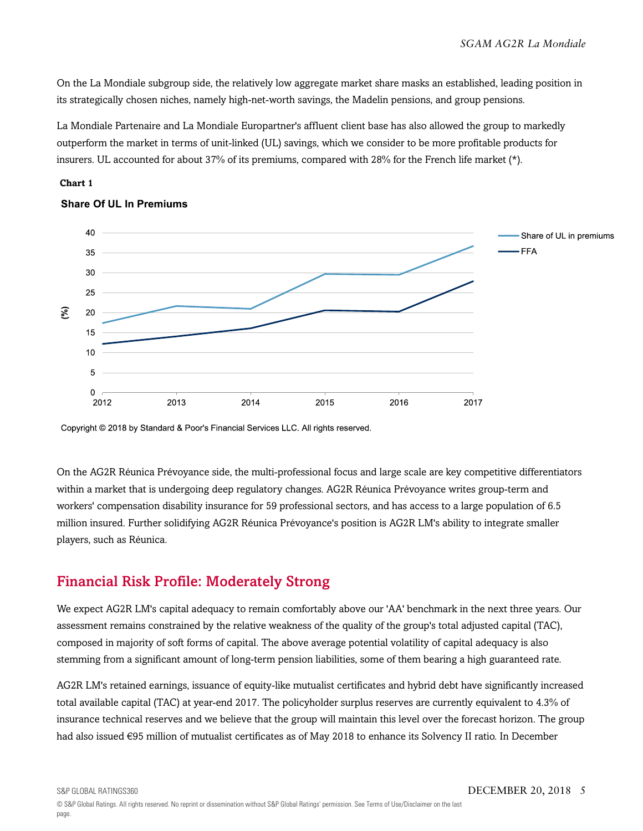On the La Mondiale subgroup side, the relatively low aggregate market share masks an established, leading position in its strategically chosen niches, namely high-net-worth savings, the Madelin pensions, and group pensions.

La Mondiale Partenaire and La Mondiale Europartner's affluent client base has also allowed the group to markedly outperform the market in terms of unit-linked (UL) savings, which we consider to be more profitable products for insurers. UL accounted for about 37% of its premiums, compared with 28% for the French life market (\*).





### **Share Of UL In Premiums**

Copyright © 2018 by Standard & Poor's Financial Services LLC. All rights reserved.

On the AG2R Réunica Prévoyance side, the multi-professional focus and large scale are key competitive differentiators within a market that is undergoing deep regulatory changes. AG2R Réunica Prévoyance writes group-term and workers' compensation disability insurance for 59 professional sectors, and has access to a large population of 6.5 million insured. Further solidifying AG2R Réunica Prévoyance's position is AG2R LM's ability to integrate smaller players, such as Réunica.

## <span id="page-4-0"></span>Financial Risk Profile: Moderately Strong

We expect AG2R LM's capital adequacy to remain comfortably above our 'AA' benchmark in the next three years. Our assessment remains constrained by the relative weakness of the quality of the group's total adjusted capital (TAC), composed in majority of soft forms of capital. The above average potential volatility of capital adequacy is also stemming from a significant amount of long-term pension liabilities, some of them bearing a high guaranteed rate.

AG2R LM's retained earnings, issuance of equity-like mutualist certificates and hybrid debt have significantly increased total available capital (TAC) at year-end 2017. The policyholder surplus reserves are currently equivalent to 4.3% of insurance technical reserves and we believe that the group will maintain this level over the forecast horizon. The group had also issued €95 million of mutualist certificates as of May 2018 to enhance its Solvency II ratio. In December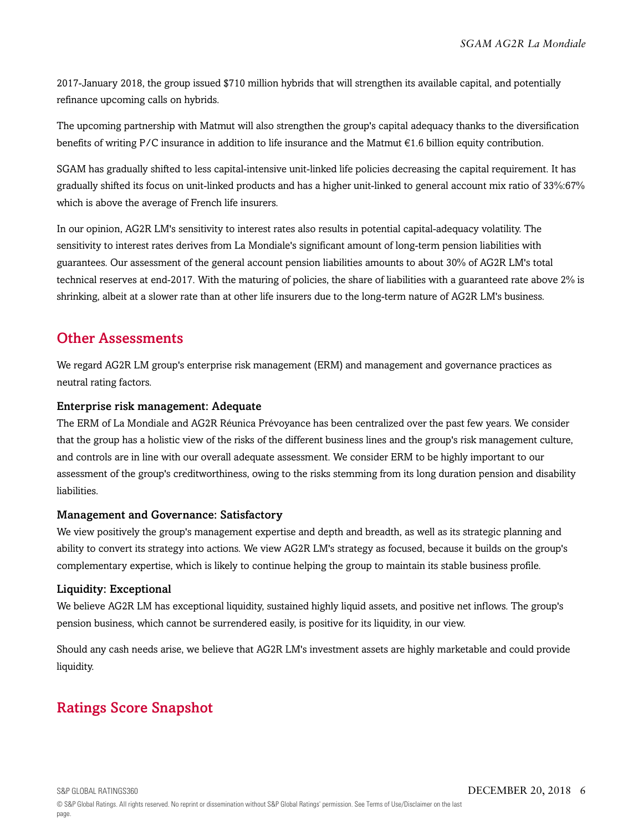2017-January 2018, the group issued \$710 million hybrids that will strengthen its available capital, and potentially refinance upcoming calls on hybrids.

The upcoming partnership with Matmut will also strengthen the group's capital adequacy thanks to the diversification benefits of writing P/C insurance in addition to life insurance and the Matmut €1.6 billion equity contribution.

SGAM has gradually shifted to less capital-intensive unit-linked life policies decreasing the capital requirement. It has gradually shifted its focus on unit-linked products and has a higher unit-linked to general account mix ratio of 33%:67% which is above the average of French life insurers.

In our opinion, AG2R LM's sensitivity to interest rates also results in potential capital-adequacy volatility. The sensitivity to interest rates derives from La Mondiale's significant amount of long-term pension liabilities with guarantees. Our assessment of the general account pension liabilities amounts to about 30% of AG2R LM's total technical reserves at end-2017. With the maturing of policies, the share of liabilities with a guaranteed rate above 2% is shrinking, albeit at a slower rate than at other life insurers due to the long-term nature of AG2R LM's business.

### <span id="page-5-0"></span>Other Assessments

We regard AG2R LM group's enterprise risk management (ERM) and management and governance practices as neutral rating factors.

### Enterprise risk management: Adequate

The ERM of La Mondiale and AG2R Réunica Prévoyance has been centralized over the past few years. We consider that the group has a holistic view of the risks of the different business lines and the group's risk management culture, and controls are in line with our overall adequate assessment. We consider ERM to be highly important to our assessment of the group's creditworthiness, owing to the risks stemming from its long duration pension and disability liabilities.

### Management and Governance: Satisfactory

We view positively the group's management expertise and depth and breadth, as well as its strategic planning and ability to convert its strategy into actions. We view AG2R LM's strategy as focused, because it builds on the group's complementary expertise, which is likely to continue helping the group to maintain its stable business profile.

### Liquidity: Exceptional

We believe AG2R LM has exceptional liquidity, sustained highly liquid assets, and positive net inflows. The group's pension business, which cannot be surrendered easily, is positive for its liquidity, in our view.

Should any cash needs arise, we believe that AG2R LM's investment assets are highly marketable and could provide liquidity.

## <span id="page-5-1"></span>Ratings Score Snapshot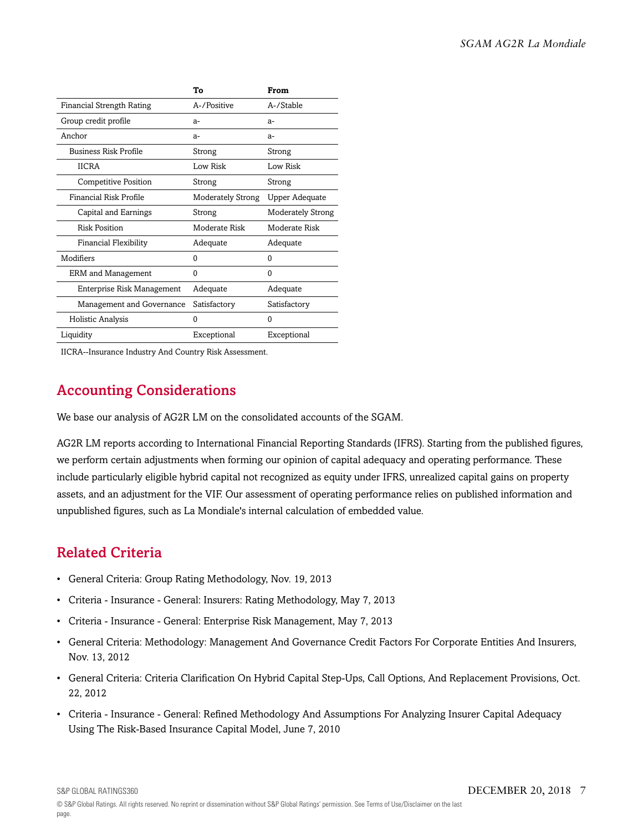|                                  | Т٥                       | From              |
|----------------------------------|--------------------------|-------------------|
| <b>Financial Strength Rating</b> | A-/Positive              | A-/Stable         |
| Group credit profile             | $a-$                     | $a-$              |
| Anchor                           | $a-$                     | $a-$              |
| <b>Business Risk Profile</b>     | Strong                   | Strong            |
| <b>IICRA</b>                     | Low Risk                 | Low Risk          |
| <b>Competitive Position</b>      | Strong                   | Strong            |
| Financial Risk Profile           | <b>Moderately Strong</b> | Upper Adequate    |
| Capital and Earnings             | Strong                   | Moderately Strong |
| <b>Risk Position</b>             | Moderate Risk            | Moderate Risk     |
| <b>Financial Flexibility</b>     | Adequate                 | Adequate          |
| Modifiers                        | 0                        | 0                 |
| <b>ERM</b> and Management        | $\mathbf{0}$             | $\Omega$          |
| Enterprise Risk Management       | Adequate                 | Adequate          |
| Management and Governance        | Satisfactory             | Satisfactory      |
| Holistic Analysis                | 0                        | 0                 |
| Liquidity                        | Exceptional              | Exceptional       |

<span id="page-6-0"></span>IICRA--Insurance Industry And Country Risk Assessment.

## Accounting Considerations

We base our analysis of AG2R LM on the consolidated accounts of the SGAM.

AG2R LM reports according to International Financial Reporting Standards (IFRS). Starting from the published figures, we perform certain adjustments when forming our opinion of capital adequacy and operating performance. These include particularly eligible hybrid capital not recognized as equity under IFRS, unrealized capital gains on property assets, and an adjustment for the VIF. Our assessment of operating performance relies on published information and unpublished figures, such as La Mondiale's internal calculation of embedded value.

## <span id="page-6-1"></span>Related Criteria

- General Criteria: Group Rating Methodology, Nov. 19, 2013
- Criteria Insurance General: Insurers: Rating Methodology, May 7, 2013
- Criteria Insurance General: Enterprise Risk Management, May 7, 2013
- General Criteria: Methodology: Management And Governance Credit Factors For Corporate Entities And Insurers, Nov. 13, 2012
- General Criteria: Criteria Clarification On Hybrid Capital Step-Ups, Call Options, And Replacement Provisions, Oct. 22, 2012
- Criteria Insurance General: Refined Methodology And Assumptions For Analyzing Insurer Capital Adequacy Using The Risk-Based Insurance Capital Model, June 7, 2010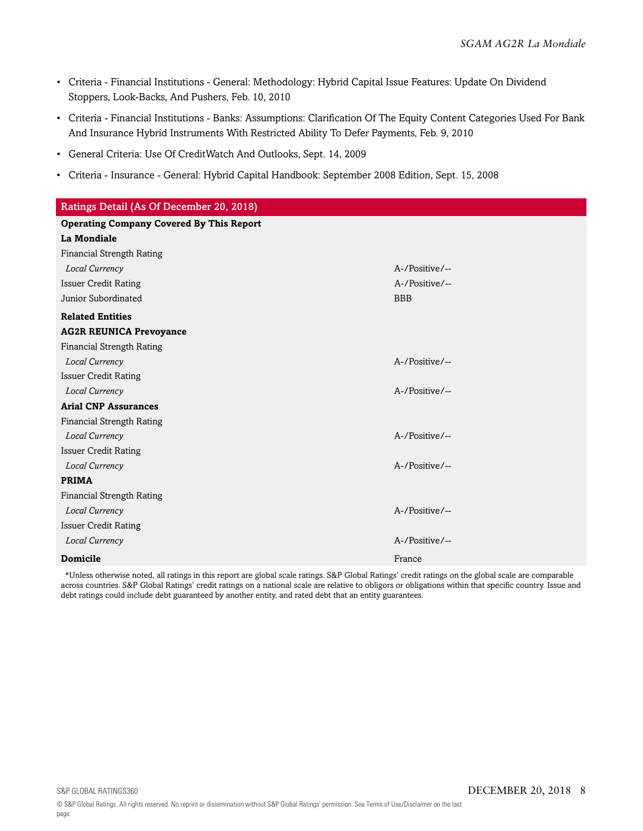- Criteria Financial Institutions General: Methodology: Hybrid Capital Issue Features: Update On Dividend Stoppers, Look-Backs, And Pushers, Feb. 10, 2010
- Criteria Financial Institutions Banks: Assumptions: Clarification Of The Equity Content Categories Used For Bank And Insurance Hybrid Instruments With Restricted Ability To Defer Payments, Feb. 9, 2010
- General Criteria: Use Of CreditWatch And Outlooks, Sept. 14, 2009
- Criteria Insurance General: Hybrid Capital Handbook: September 2008 Edition, Sept. 15, 2008

| Ratings Detail (As Of December 20, 2018)        |                |  |  |  |  |
|-------------------------------------------------|----------------|--|--|--|--|
| <b>Operating Company Covered By This Report</b> |                |  |  |  |  |
| <b>La Mondiale</b>                              |                |  |  |  |  |
| <b>Financial Strength Rating</b>                |                |  |  |  |  |
| Local Currency                                  | A-/Positive/-- |  |  |  |  |
| <b>Issuer Credit Rating</b>                     | A-/Positive/-- |  |  |  |  |
| Junior Subordinated                             | <b>BBB</b>     |  |  |  |  |
| <b>Related Entities</b>                         |                |  |  |  |  |
| <b>AG2R REUNICA Prevoyance</b>                  |                |  |  |  |  |
| Financial Strength Rating                       |                |  |  |  |  |
| Local Currency                                  | A-/Positive/-- |  |  |  |  |
| <b>Issuer Credit Rating</b>                     |                |  |  |  |  |
| Local Currency                                  | A-/Positive/-- |  |  |  |  |
| <b>Arial CNP Assurances</b>                     |                |  |  |  |  |
| Financial Strength Rating                       |                |  |  |  |  |
| Local Currency                                  | A-/Positive/-- |  |  |  |  |
| <b>Issuer Credit Rating</b>                     |                |  |  |  |  |
| Local Currency                                  | A-/Positive/-- |  |  |  |  |
| <b>PRIMA</b>                                    |                |  |  |  |  |
| <b>Financial Strength Rating</b>                |                |  |  |  |  |
| Local Currency                                  | A-/Positive/-- |  |  |  |  |
| <b>Issuer Credit Rating</b>                     |                |  |  |  |  |
| Local Currency                                  | A-/Positive/-- |  |  |  |  |
| <b>Domicile</b>                                 | France         |  |  |  |  |

\*Unless otherwise noted, all ratings in this report are global scale ratings. S&P Global Ratings' credit ratings on the global scale are comparable across countries. S&P Global Ratings' credit ratings on a national scale are relative to obligors or obligations within that specific country. Issue and debt ratings could include debt guaranteed by another entity, and rated debt that an entity guarantees.